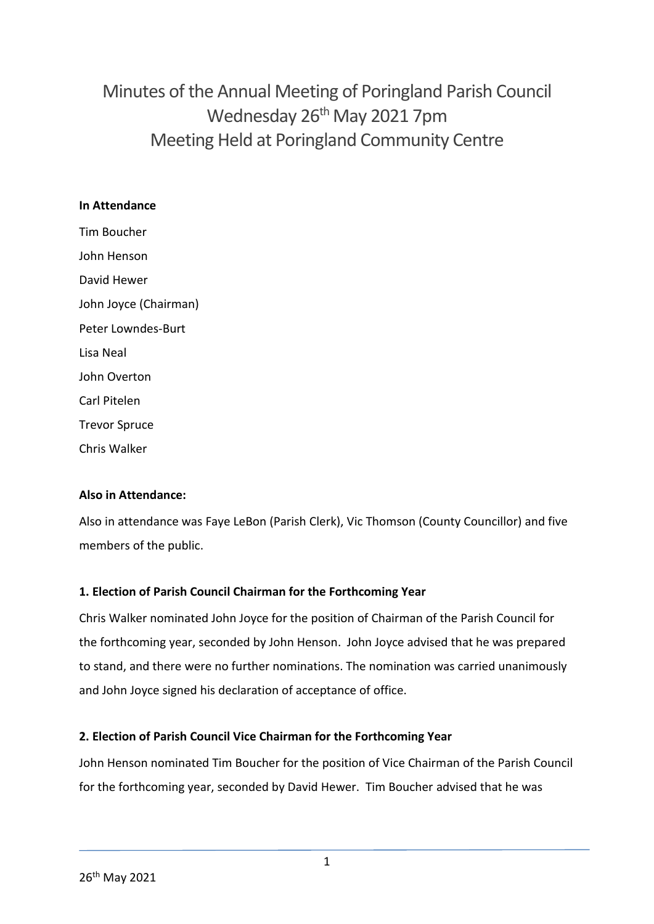# Minutes of the Annual Meeting of Poringland Parish Council Wednesday 26<sup>th</sup> May 2021 7pm Meeting Held at Poringland Community Centre

## **In Attendance**

Tim Boucher John Henson David Hewer John Joyce (Chairman) Peter Lowndes-Burt Lisa Neal John Overton Carl Pitelen Trevor Spruce Chris Walker

## **Also in Attendance:**

Also in attendance was Faye LeBon (Parish Clerk), Vic Thomson (County Councillor) and five members of the public.

## **1. Election of Parish Council Chairman for the Forthcoming Year**

Chris Walker nominated John Joyce for the position of Chairman of the Parish Council for the forthcoming year, seconded by John Henson. John Joyce advised that he was prepared to stand, and there were no further nominations. The nomination was carried unanimously and John Joyce signed his declaration of acceptance of office.

## **2. Election of Parish Council Vice Chairman for the Forthcoming Year**

John Henson nominated Tim Boucher for the position of Vice Chairman of the Parish Council for the forthcoming year, seconded by David Hewer. Tim Boucher advised that he was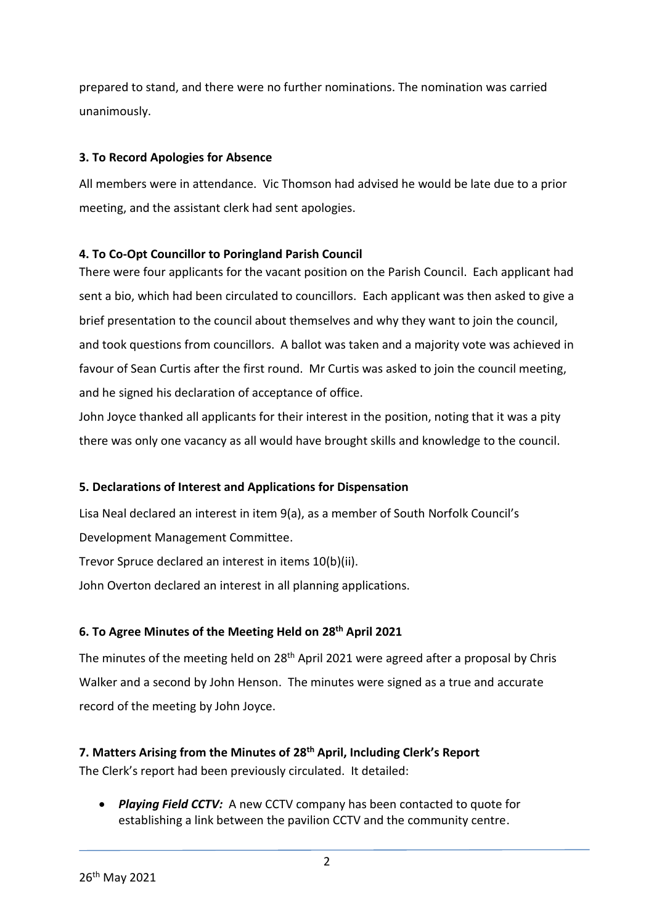prepared to stand, and there were no further nominations. The nomination was carried unanimously.

## **3. To Record Apologies for Absence**

All members were in attendance. Vic Thomson had advised he would be late due to a prior meeting, and the assistant clerk had sent apologies.

## **4. To Co-Opt Councillor to Poringland Parish Council**

There were four applicants for the vacant position on the Parish Council. Each applicant had sent a bio, which had been circulated to councillors. Each applicant was then asked to give a brief presentation to the council about themselves and why they want to join the council, and took questions from councillors. A ballot was taken and a majority vote was achieved in favour of Sean Curtis after the first round. Mr Curtis was asked to join the council meeting, and he signed his declaration of acceptance of office.

John Joyce thanked all applicants for their interest in the position, noting that it was a pity there was only one vacancy as all would have brought skills and knowledge to the council.

## **5. Declarations of Interest and Applications for Dispensation**

Lisa Neal declared an interest in item 9(a), as a member of South Norfolk Council's Development Management Committee.

Trevor Spruce declared an interest in items 10(b)(ii).

John Overton declared an interest in all planning applications.

## **6. To Agree Minutes of the Meeting Held on 28th April 2021**

The minutes of the meeting held on 28<sup>th</sup> April 2021 were agreed after a proposal by Chris Walker and a second by John Henson. The minutes were signed as a true and accurate record of the meeting by John Joyce.

**7. Matters Arising from the Minutes of 28th April, Including Clerk's Report** The Clerk's report had been previously circulated. It detailed:

 *Playing Field CCTV:* A new CCTV company has been contacted to quote for establishing a link between the pavilion CCTV and the community centre.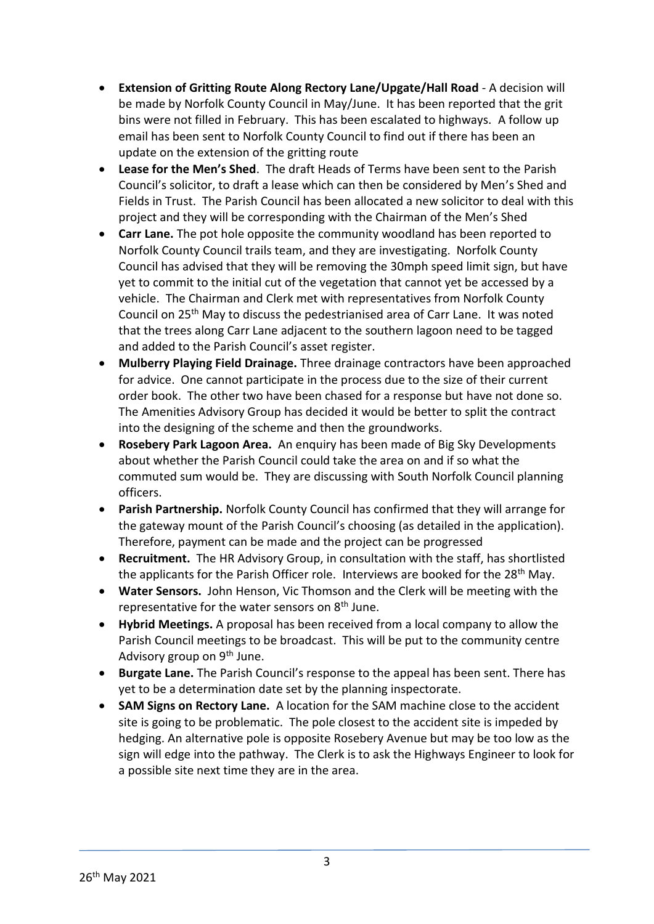- **Extension of Gritting Route Along Rectory Lane/Upgate/Hall Road** A decision will be made by Norfolk County Council in May/June. It has been reported that the grit bins were not filled in February. This has been escalated to highways. A follow up email has been sent to Norfolk County Council to find out if there has been an update on the extension of the gritting route
- **Lease for the Men's Shed**. The draft Heads of Terms have been sent to the Parish Council's solicitor, to draft a lease which can then be considered by Men's Shed and Fields in Trust. The Parish Council has been allocated a new solicitor to deal with this project and they will be corresponding with the Chairman of the Men's Shed
- **Carr Lane.** The pot hole opposite the community woodland has been reported to Norfolk County Council trails team, and they are investigating. Norfolk County Council has advised that they will be removing the 30mph speed limit sign, but have yet to commit to the initial cut of the vegetation that cannot yet be accessed by a vehicle. The Chairman and Clerk met with representatives from Norfolk County Council on 25th May to discuss the pedestrianised area of Carr Lane. It was noted that the trees along Carr Lane adjacent to the southern lagoon need to be tagged and added to the Parish Council's asset register.
- **Mulberry Playing Field Drainage.** Three drainage contractors have been approached for advice. One cannot participate in the process due to the size of their current order book. The other two have been chased for a response but have not done so. The Amenities Advisory Group has decided it would be better to split the contract into the designing of the scheme and then the groundworks.
- **Rosebery Park Lagoon Area.** An enquiry has been made of Big Sky Developments about whether the Parish Council could take the area on and if so what the commuted sum would be. They are discussing with South Norfolk Council planning officers.
- **Parish Partnership.** Norfolk County Council has confirmed that they will arrange for the gateway mount of the Parish Council's choosing (as detailed in the application). Therefore, payment can be made and the project can be progressed
- **Recruitment.** The HR Advisory Group, in consultation with the staff, has shortlisted the applicants for the Parish Officer role. Interviews are booked for the 28<sup>th</sup> May.
- **Water Sensors.** John Henson, Vic Thomson and the Clerk will be meeting with the representative for the water sensors on  $8<sup>th</sup>$  June.
- **Hybrid Meetings.** A proposal has been received from a local company to allow the Parish Council meetings to be broadcast. This will be put to the community centre Advisory group on 9<sup>th</sup> June.
- **Burgate Lane.** The Parish Council's response to the appeal has been sent. There has yet to be a determination date set by the planning inspectorate.
- **SAM Signs on Rectory Lane.** A location for the SAM machine close to the accident site is going to be problematic. The pole closest to the accident site is impeded by hedging. An alternative pole is opposite Rosebery Avenue but may be too low as the sign will edge into the pathway. The Clerk is to ask the Highways Engineer to look for a possible site next time they are in the area.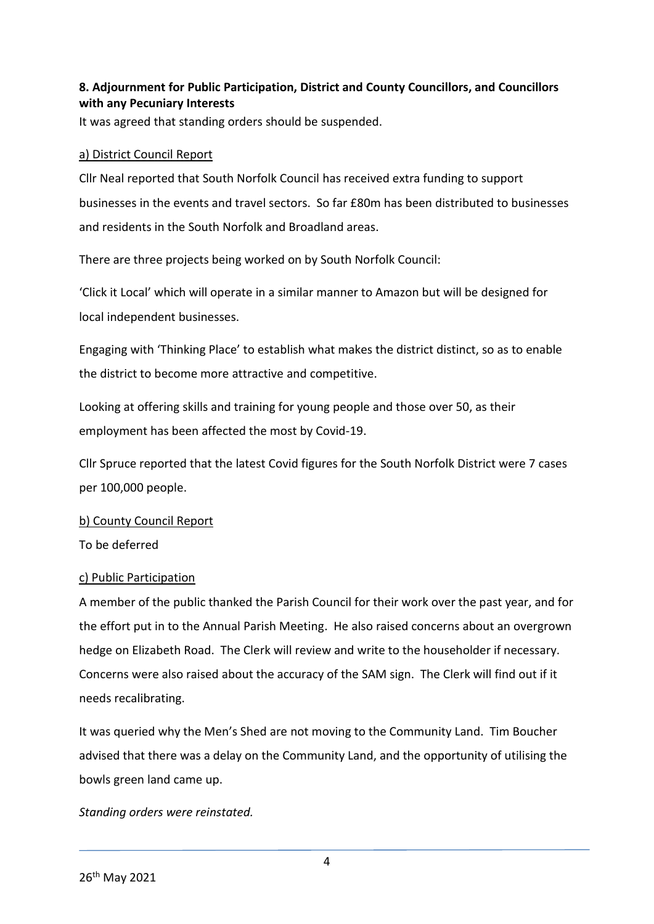## **8. Adjournment for Public Participation, District and County Councillors, and Councillors with any Pecuniary Interests**

It was agreed that standing orders should be suspended.

## a) District Council Report

Cllr Neal reported that South Norfolk Council has received extra funding to support businesses in the events and travel sectors. So far £80m has been distributed to businesses and residents in the South Norfolk and Broadland areas.

There are three projects being worked on by South Norfolk Council:

'Click it Local' which will operate in a similar manner to Amazon but will be designed for local independent businesses.

Engaging with 'Thinking Place' to establish what makes the district distinct, so as to enable the district to become more attractive and competitive.

Looking at offering skills and training for young people and those over 50, as their employment has been affected the most by Covid-19.

Cllr Spruce reported that the latest Covid figures for the South Norfolk District were 7 cases per 100,000 people.

b) County Council Report

To be deferred

## c) Public Participation

A member of the public thanked the Parish Council for their work over the past year, and for the effort put in to the Annual Parish Meeting. He also raised concerns about an overgrown hedge on Elizabeth Road. The Clerk will review and write to the householder if necessary. Concerns were also raised about the accuracy of the SAM sign. The Clerk will find out if it needs recalibrating.

It was queried why the Men's Shed are not moving to the Community Land. Tim Boucher advised that there was a delay on the Community Land, and the opportunity of utilising the bowls green land came up.

## *Standing orders were reinstated.*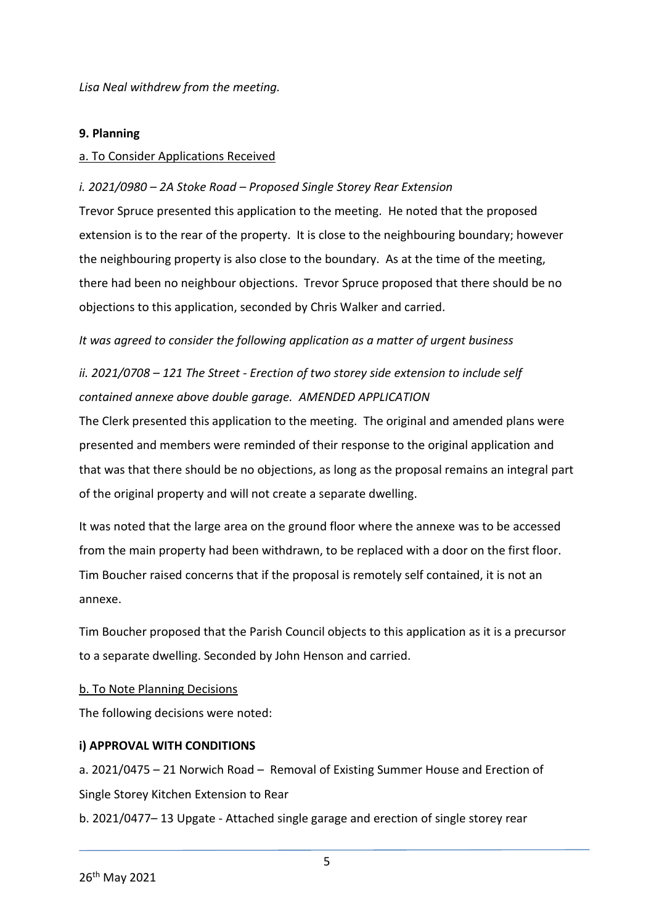*Lisa Neal withdrew from the meeting.* 

#### **9. Planning**

#### a. To Consider Applications Received

#### *i. 2021/0980 – 2A Stoke Road – Proposed Single Storey Rear Extension*

Trevor Spruce presented this application to the meeting. He noted that the proposed extension is to the rear of the property. It is close to the neighbouring boundary; however the neighbouring property is also close to the boundary. As at the time of the meeting, there had been no neighbour objections. Trevor Spruce proposed that there should be no objections to this application, seconded by Chris Walker and carried.

*It was agreed to consider the following application as a matter of urgent business*

## *ii. 2021/0708 – 121 The Street - Erection of two storey side extension to include self contained annexe above double garage. AMENDED APPLICATION*

The Clerk presented this application to the meeting. The original and amended plans were presented and members were reminded of their response to the original application and that was that there should be no objections, as long as the proposal remains an integral part of the original property and will not create a separate dwelling.

It was noted that the large area on the ground floor where the annexe was to be accessed from the main property had been withdrawn, to be replaced with a door on the first floor. Tim Boucher raised concerns that if the proposal is remotely self contained, it is not an annexe.

Tim Boucher proposed that the Parish Council objects to this application as it is a precursor to a separate dwelling. Seconded by John Henson and carried.

#### b. To Note Planning Decisions

The following decisions were noted:

## **i) APPROVAL WITH CONDITIONS**

a. 2021/0475 – 21 Norwich Road – Removal of Existing Summer House and Erection of Single Storey Kitchen Extension to Rear

b. 2021/0477– 13 Upgate - Attached single garage and erection of single storey rear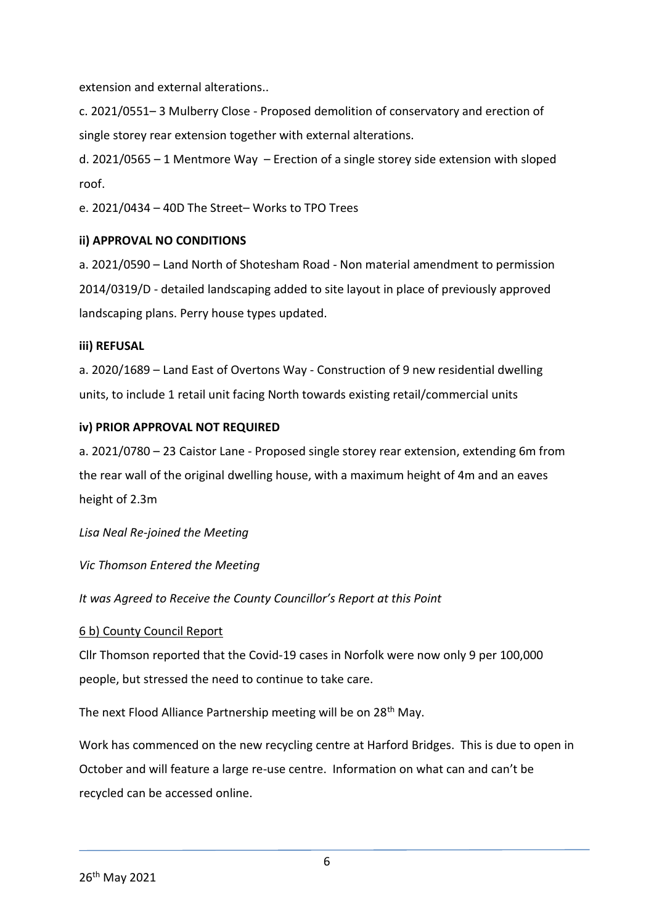extension and external alterations..

c. 2021/0551– 3 Mulberry Close - Proposed demolition of conservatory and erection of single storey rear extension together with external alterations.

d. 2021/0565 – 1 Mentmore Way – Erection of a single storey side extension with sloped roof.

e. 2021/0434 – 40D The Street– Works to TPO Trees

## **ii) APPROVAL NO CONDITIONS**

a. 2021/0590 – Land North of Shotesham Road - Non material amendment to permission 2014/0319/D - detailed landscaping added to site layout in place of previously approved landscaping plans. Perry house types updated.

## **iii) REFUSAL**

a. 2020/1689 – Land East of Overtons Way - Construction of 9 new residential dwelling units, to include 1 retail unit facing North towards existing retail/commercial units

## **iv) PRIOR APPROVAL NOT REQUIRED**

a. 2021/0780 – 23 Caistor Lane - Proposed single storey rear extension, extending 6m from the rear wall of the original dwelling house, with a maximum height of 4m and an eaves height of 2.3m

*Lisa Neal Re-joined the Meeting*

*Vic Thomson Entered the Meeting*

*It was Agreed to Receive the County Councillor's Report at this Point*

## 6 b) County Council Report

Cllr Thomson reported that the Covid-19 cases in Norfolk were now only 9 per 100,000 people, but stressed the need to continue to take care.

The next Flood Alliance Partnership meeting will be on 28<sup>th</sup> May.

Work has commenced on the new recycling centre at Harford Bridges. This is due to open in October and will feature a large re-use centre. Information on what can and can't be recycled can be accessed online.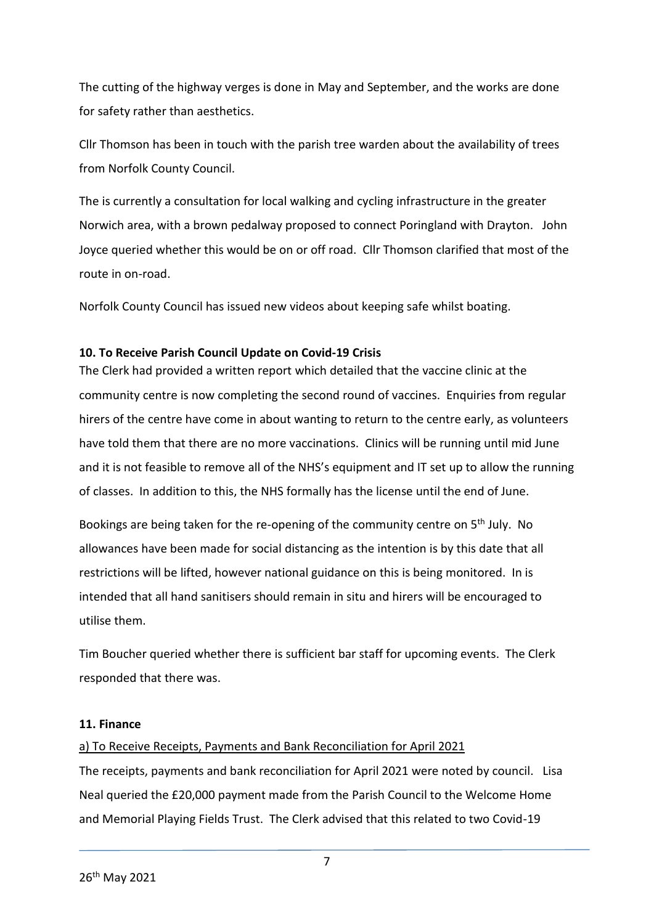The cutting of the highway verges is done in May and September, and the works are done for safety rather than aesthetics.

Cllr Thomson has been in touch with the parish tree warden about the availability of trees from Norfolk County Council.

The is currently a consultation for local walking and cycling infrastructure in the greater Norwich area, with a brown pedalway proposed to connect Poringland with Drayton. John Joyce queried whether this would be on or off road. Cllr Thomson clarified that most of the route in on-road.

Norfolk County Council has issued new videos about keeping safe whilst boating.

## **10. To Receive Parish Council Update on Covid-19 Crisis**

The Clerk had provided a written report which detailed that the vaccine clinic at the community centre is now completing the second round of vaccines. Enquiries from regular hirers of the centre have come in about wanting to return to the centre early, as volunteers have told them that there are no more vaccinations. Clinics will be running until mid June and it is not feasible to remove all of the NHS's equipment and IT set up to allow the running of classes. In addition to this, the NHS formally has the license until the end of June.

Bookings are being taken for the re-opening of the community centre on 5<sup>th</sup> July. No allowances have been made for social distancing as the intention is by this date that all restrictions will be lifted, however national guidance on this is being monitored. In is intended that all hand sanitisers should remain in situ and hirers will be encouraged to utilise them.

Tim Boucher queried whether there is sufficient bar staff for upcoming events. The Clerk responded that there was.

## **11. Finance**

## a) To Receive Receipts, Payments and Bank Reconciliation for April 2021

The receipts, payments and bank reconciliation for April 2021 were noted by council. Lisa Neal queried the £20,000 payment made from the Parish Council to the Welcome Home and Memorial Playing Fields Trust. The Clerk advised that this related to two Covid-19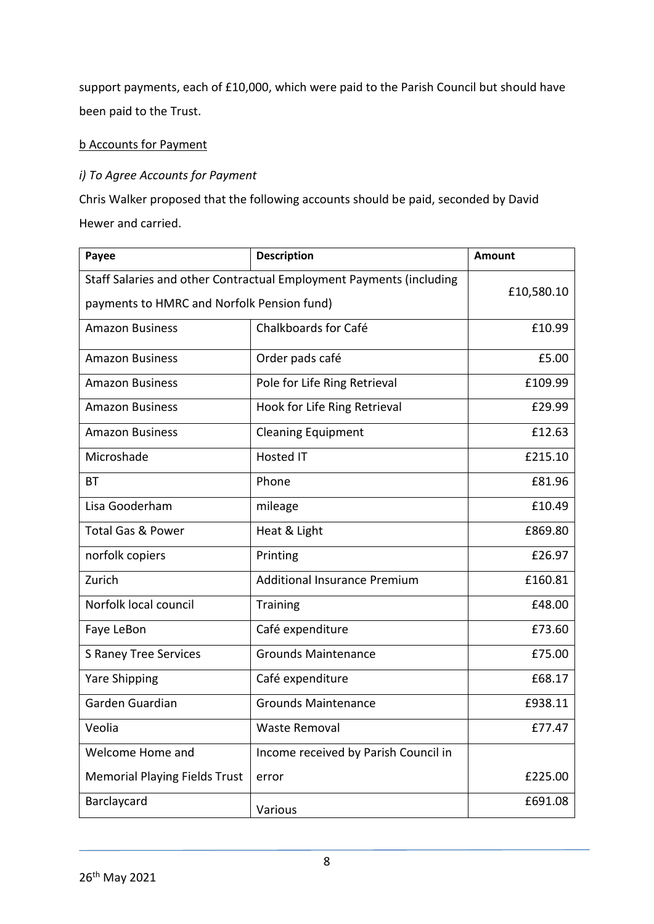support payments, each of £10,000, which were paid to the Parish Council but should have been paid to the Trust.

## b Accounts for Payment

## *i) To Agree Accounts for Payment*

Chris Walker proposed that the following accounts should be paid, seconded by David Hewer and carried.

| Payee                                                               | <b>Description</b>                   | <b>Amount</b> |
|---------------------------------------------------------------------|--------------------------------------|---------------|
| Staff Salaries and other Contractual Employment Payments (including |                                      | £10,580.10    |
| payments to HMRC and Norfolk Pension fund)                          |                                      |               |
| <b>Amazon Business</b>                                              | Chalkboards for Café                 | £10.99        |
| <b>Amazon Business</b>                                              | Order pads café                      | £5.00         |
| <b>Amazon Business</b>                                              | Pole for Life Ring Retrieval         | £109.99       |
| <b>Amazon Business</b>                                              | Hook for Life Ring Retrieval         | £29.99        |
| <b>Amazon Business</b>                                              | <b>Cleaning Equipment</b>            | £12.63        |
| Microshade                                                          | <b>Hosted IT</b>                     | £215.10       |
| BТ                                                                  | Phone                                | £81.96        |
| Lisa Gooderham                                                      | mileage                              | £10.49        |
| <b>Total Gas &amp; Power</b>                                        | Heat & Light                         | £869.80       |
| norfolk copiers                                                     | Printing                             | £26.97        |
| Zurich                                                              | <b>Additional Insurance Premium</b>  | £160.81       |
| Norfolk local council                                               | <b>Training</b>                      | £48.00        |
| Faye LeBon                                                          | Café expenditure                     | £73.60        |
| S Raney Tree Services                                               | <b>Grounds Maintenance</b>           | £75.00        |
| <b>Yare Shipping</b>                                                | Café expenditure                     | £68.17        |
| Garden Guardian                                                     | <b>Grounds Maintenance</b>           | £938.11       |
| Veolia                                                              | <b>Waste Removal</b>                 | £77.47        |
| Welcome Home and                                                    | Income received by Parish Council in |               |
| <b>Memorial Playing Fields Trust</b>                                | error                                | £225.00       |
| Barclaycard                                                         | Various                              | £691.08       |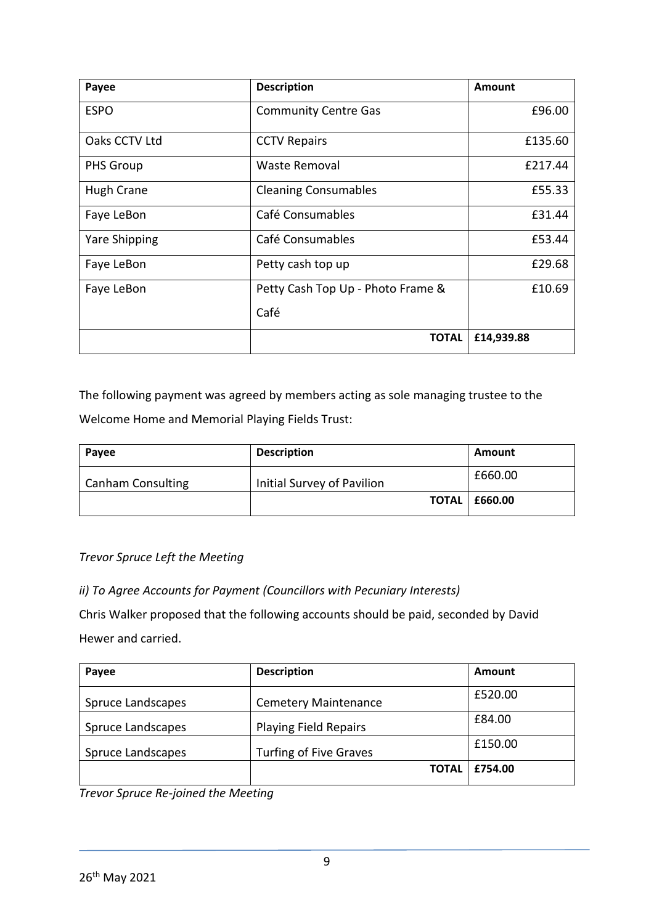| Payee                | <b>Description</b>                | <b>Amount</b> |
|----------------------|-----------------------------------|---------------|
| <b>ESPO</b>          | <b>Community Centre Gas</b>       | £96.00        |
| Oaks CCTV Ltd        | <b>CCTV Repairs</b>               | £135.60       |
| <b>PHS Group</b>     | Waste Removal                     | £217.44       |
| <b>Hugh Crane</b>    | <b>Cleaning Consumables</b>       | £55.33        |
| Faye LeBon           | Café Consumables                  | £31.44        |
| <b>Yare Shipping</b> | Café Consumables                  | £53.44        |
| Faye LeBon           | Petty cash top up                 | £29.68        |
| Faye LeBon           | Petty Cash Top Up - Photo Frame & | £10.69        |
|                      | Café                              |               |
|                      | <b>TOTAL</b>                      | £14,939.88    |

The following payment was agreed by members acting as sole managing trustee to the Welcome Home and Memorial Playing Fields Trust:

| Payee                    | <b>Description</b>         | Amount                 |
|--------------------------|----------------------------|------------------------|
| <b>Canham Consulting</b> | Initial Survey of Pavilion | £660.00                |
|                          |                            | <b>TOTAL   £660.00</b> |

## *Trevor Spruce Left the Meeting*

*ii) To Agree Accounts for Payment (Councillors with Pecuniary Interests)*

Chris Walker proposed that the following accounts should be paid, seconded by David Hewer and carried.

| Payee             | <b>Description</b>            | Amount  |
|-------------------|-------------------------------|---------|
| Spruce Landscapes | <b>Cemetery Maintenance</b>   | £520.00 |
| Spruce Landscapes | <b>Playing Field Repairs</b>  | £84.00  |
| Spruce Landscapes | <b>Turfing of Five Graves</b> | £150.00 |
|                   | <b>TOTAL</b>                  | £754.00 |

*Trevor Spruce Re-joined the Meeting*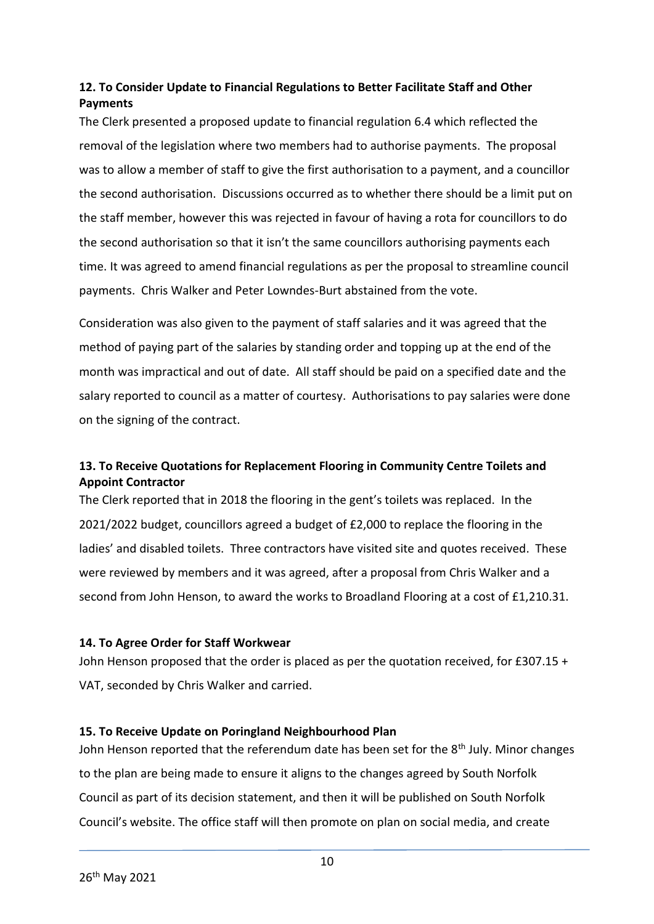## **12. To Consider Update to Financial Regulations to Better Facilitate Staff and Other Payments**

The Clerk presented a proposed update to financial regulation 6.4 which reflected the removal of the legislation where two members had to authorise payments. The proposal was to allow a member of staff to give the first authorisation to a payment, and a councillor the second authorisation. Discussions occurred as to whether there should be a limit put on the staff member, however this was rejected in favour of having a rota for councillors to do the second authorisation so that it isn't the same councillors authorising payments each time. It was agreed to amend financial regulations as per the proposal to streamline council payments. Chris Walker and Peter Lowndes-Burt abstained from the vote.

Consideration was also given to the payment of staff salaries and it was agreed that the method of paying part of the salaries by standing order and topping up at the end of the month was impractical and out of date. All staff should be paid on a specified date and the salary reported to council as a matter of courtesy. Authorisations to pay salaries were done on the signing of the contract.

## **13. To Receive Quotations for Replacement Flooring in Community Centre Toilets and Appoint Contractor**

The Clerk reported that in 2018 the flooring in the gent's toilets was replaced. In the 2021/2022 budget, councillors agreed a budget of £2,000 to replace the flooring in the ladies' and disabled toilets. Three contractors have visited site and quotes received. These were reviewed by members and it was agreed, after a proposal from Chris Walker and a second from John Henson, to award the works to Broadland Flooring at a cost of £1,210.31.

## **14. To Agree Order for Staff Workwear**

John Henson proposed that the order is placed as per the quotation received, for £307.15 + VAT, seconded by Chris Walker and carried.

## **15. To Receive Update on Poringland Neighbourhood Plan**

John Henson reported that the referendum date has been set for the 8<sup>th</sup> July. Minor changes to the plan are being made to ensure it aligns to the changes agreed by South Norfolk Council as part of its decision statement, and then it will be published on South Norfolk Council's website. The office staff will then promote on plan on social media, and create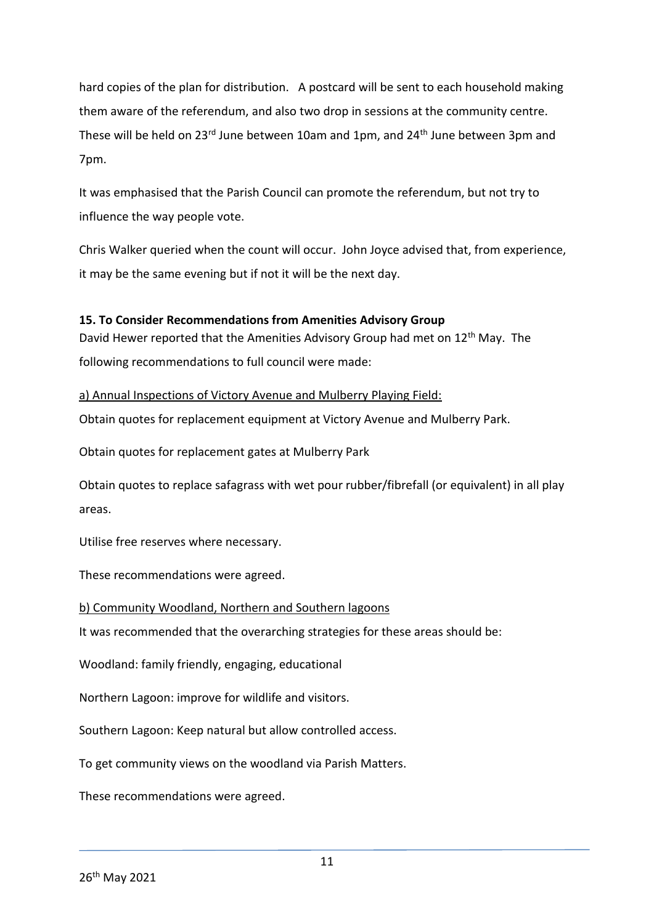hard copies of the plan for distribution. A postcard will be sent to each household making them aware of the referendum, and also two drop in sessions at the community centre. These will be held on 23<sup>rd</sup> June between 10am and 1pm, and 24<sup>th</sup> June between 3pm and 7pm.

It was emphasised that the Parish Council can promote the referendum, but not try to influence the way people vote.

Chris Walker queried when the count will occur. John Joyce advised that, from experience, it may be the same evening but if not it will be the next day.

## **15. To Consider Recommendations from Amenities Advisory Group**

David Hewer reported that the Amenities Advisory Group had met on 12<sup>th</sup> May. The following recommendations to full council were made:

## a) Annual Inspections of Victory Avenue and Mulberry Playing Field:

Obtain quotes for replacement equipment at Victory Avenue and Mulberry Park.

Obtain quotes for replacement gates at Mulberry Park

Obtain quotes to replace safagrass with wet pour rubber/fibrefall (or equivalent) in all play areas.

Utilise free reserves where necessary.

These recommendations were agreed.

## b) Community Woodland, Northern and Southern lagoons

It was recommended that the overarching strategies for these areas should be:

Woodland: family friendly, engaging, educational

Northern Lagoon: improve for wildlife and visitors.

Southern Lagoon: Keep natural but allow controlled access.

To get community views on the woodland via Parish Matters.

These recommendations were agreed.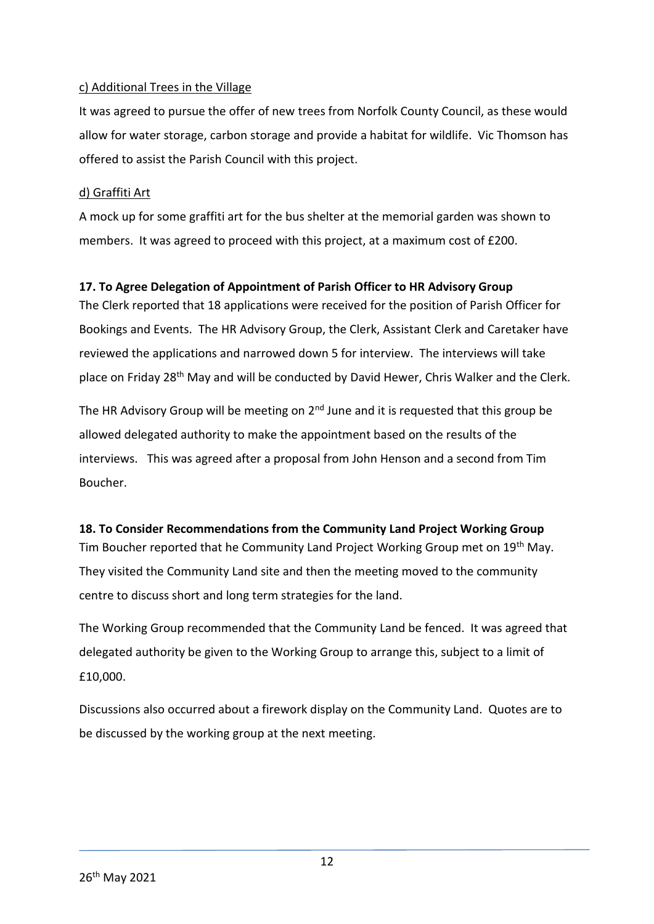## c) Additional Trees in the Village

It was agreed to pursue the offer of new trees from Norfolk County Council, as these would allow for water storage, carbon storage and provide a habitat for wildlife. Vic Thomson has offered to assist the Parish Council with this project.

## d) Graffiti Art

A mock up for some graffiti art for the bus shelter at the memorial garden was shown to members. It was agreed to proceed with this project, at a maximum cost of £200.

## **17. To Agree Delegation of Appointment of Parish Officer to HR Advisory Group**

The Clerk reported that 18 applications were received for the position of Parish Officer for Bookings and Events. The HR Advisory Group, the Clerk, Assistant Clerk and Caretaker have reviewed the applications and narrowed down 5 for interview. The interviews will take place on Friday 28<sup>th</sup> May and will be conducted by David Hewer, Chris Walker and the Clerk.

The HR Advisory Group will be meeting on  $2<sup>nd</sup>$  June and it is requested that this group be allowed delegated authority to make the appointment based on the results of the interviews. This was agreed after a proposal from John Henson and a second from Tim Boucher.

## **18. To Consider Recommendations from the Community Land Project Working Group**

Tim Boucher reported that he Community Land Project Working Group met on 19th May. They visited the Community Land site and then the meeting moved to the community centre to discuss short and long term strategies for the land.

The Working Group recommended that the Community Land be fenced. It was agreed that delegated authority be given to the Working Group to arrange this, subject to a limit of £10,000.

Discussions also occurred about a firework display on the Community Land. Quotes are to be discussed by the working group at the next meeting.